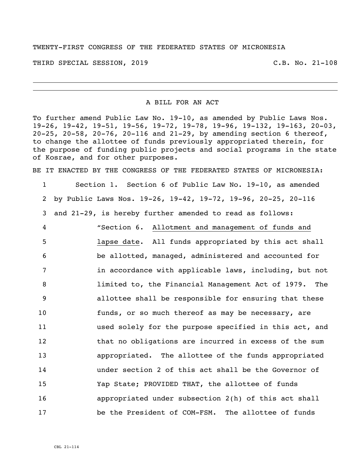TWENTY-FIRST CONGRESS OF THE FEDERATED STATES OF MICRONESIA

THIRD SPECIAL SESSION, 2019 C.B. No. 21-108

A BILL FOR AN ACT

To further amend Public Law No. 19-10, as amended by Public Laws Nos. 19-26, 19-42, 19-51, 19-56, 19-72, 19-78, 19-96, 19-132, 19-163, 20-03, 20-25, 20-58, 20-76, 20-116 and 21-29, by amending section 6 thereof, to change the allottee of funds previously appropriated therein, for the purpose of funding public projects and social programs in the state of Kosrae, and for other purposes.

BE IT ENACTED BY THE CONGRESS OF THE FEDERATED STATES OF MICRONESIA:

 Section 1. Section 6 of Public Law No. 19-10, as amended by Public Laws Nos. 19-26, 19-42, 19-72, 19-96, 20-25, 20-116 and 21-29, is hereby further amended to read as follows: "Section 6. Allotment and management of funds and lapse date. All funds appropriated by this act shall be allotted, managed, administered and accounted for **in accordance with applicable laws, including, but not**  limited to, the Financial Management Act of 1979. The allottee shall be responsible for ensuring that these funds, or so much thereof as may be necessary, are used solely for the purpose specified in this act, and 12 that no obligations are incurred in excess of the sum appropriated. The allottee of the funds appropriated under section 2 of this act shall be the Governor of Yap State; PROVIDED THAT, the allottee of funds appropriated under subsection 2(h) of this act shall be the President of COM-FSM. The allottee of funds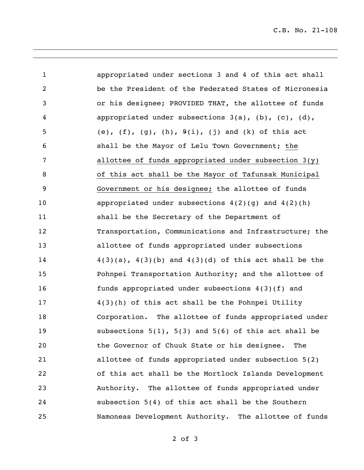C.B. No. 21-108

| $\mathbf 1$    | appropriated under sections 3 and 4 of this act shall             |
|----------------|-------------------------------------------------------------------|
| $\overline{2}$ | be the President of the Federated States of Micronesia            |
| 3              | or his designee; PROVIDED THAT, the allottee of funds             |
| 4              | appropriated under subsections $3(a)$ , $(b)$ , $(c)$ , $(d)$ ,   |
| 5              | (e), $(f)$ , $(g)$ , $(h)$ , $9(i)$ , $(j)$ and $(k)$ of this act |
| 6              | shall be the Mayor of Lelu Town Government; the                   |
| 7              | allottee of funds appropriated under subsection $3(y)$            |
| 8              | of this act shall be the Mayor of Tafunsak Municipal              |
| 9              | Government or his designee; the allottee of funds                 |
| 10             | appropriated under subsections $4(2)(g)$ and $4(2)(h)$            |
| 11             | shall be the Secretary of the Department of                       |
| 12             | Transportation, Communications and Infrastructure; the            |
| 13             | allottee of funds appropriated under subsections                  |
| 14             | $4(3)(a)$ , $4(3)(b)$ and $4(3)(d)$ of this act shall be the      |
| 15             | Pohnpei Transportation Authority; and the allottee of             |
| 16             | funds appropriated under subsections 4(3)(f) and                  |
| 17             | 4(3)(h) of this act shall be the Pohnpei Utility                  |
| 18             | Corporation. The allottee of funds appropriated under             |
| 19             | subsections $5(1)$ , $5(3)$ and $5(6)$ of this act shall be       |
| 20             | the Governor of Chuuk State or his designee.<br>The               |
| 21             | allottee of funds appropriated under subsection 5(2)              |
| 22             | of this act shall be the Mortlock Islands Development             |
| 23             | Authority. The allottee of funds appropriated under               |
| 24             | subsection 5(4) of this act shall be the Southern                 |
| 25             | Namoneas Development Authority. The allottee of funds             |

of 3